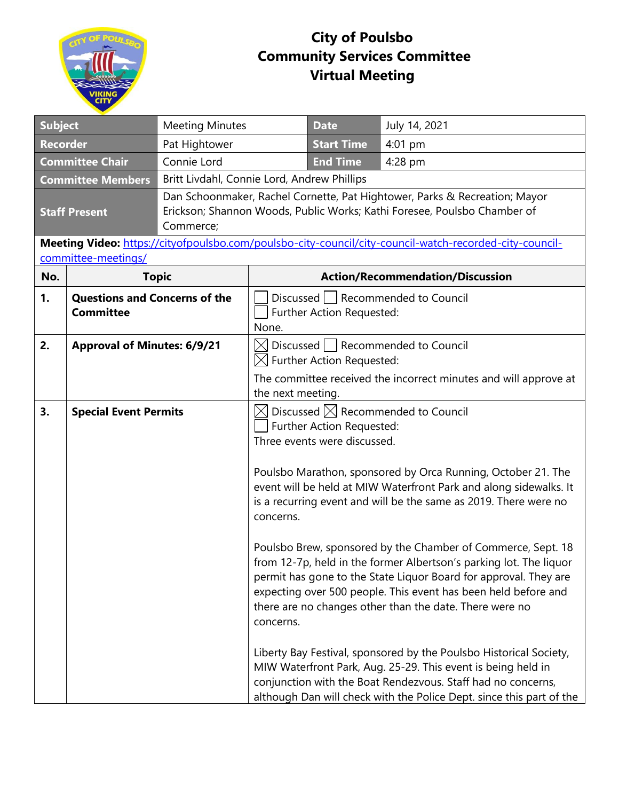

## **City of Poulsbo Community Services Committee Virtual Meeting**

| <b>Subject</b>                                                                                                                 |                                                          | <b>Meeting Minutes</b> |                                                                                                                                                                                     | <b>Date</b>                                               | July 14, 2021                                                                                                                                                                                                                                                                                                                                                                                                                                                                                                                                                                                                                                                                                                                                                                                                                                                              |  |
|--------------------------------------------------------------------------------------------------------------------------------|----------------------------------------------------------|------------------------|-------------------------------------------------------------------------------------------------------------------------------------------------------------------------------------|-----------------------------------------------------------|----------------------------------------------------------------------------------------------------------------------------------------------------------------------------------------------------------------------------------------------------------------------------------------------------------------------------------------------------------------------------------------------------------------------------------------------------------------------------------------------------------------------------------------------------------------------------------------------------------------------------------------------------------------------------------------------------------------------------------------------------------------------------------------------------------------------------------------------------------------------------|--|
| <b>Recorder</b>                                                                                                                |                                                          | Pat Hightower          |                                                                                                                                                                                     | <b>Start Time</b>                                         | 4:01 pm                                                                                                                                                                                                                                                                                                                                                                                                                                                                                                                                                                                                                                                                                                                                                                                                                                                                    |  |
| <b>Committee Chair</b><br>Connie Lord                                                                                          |                                                          |                        | <b>End Time</b>                                                                                                                                                                     | 4:28 pm                                                   |                                                                                                                                                                                                                                                                                                                                                                                                                                                                                                                                                                                                                                                                                                                                                                                                                                                                            |  |
| <b>Committee Members</b>                                                                                                       |                                                          |                        | Britt Livdahl, Connie Lord, Andrew Phillips                                                                                                                                         |                                                           |                                                                                                                                                                                                                                                                                                                                                                                                                                                                                                                                                                                                                                                                                                                                                                                                                                                                            |  |
| <b>Staff Present</b><br>Commerce;                                                                                              |                                                          |                        | Dan Schoonmaker, Rachel Cornette, Pat Hightower, Parks & Recreation; Mayor<br>Erickson; Shannon Woods, Public Works; Kathi Foresee, Poulsbo Chamber of                              |                                                           |                                                                                                                                                                                                                                                                                                                                                                                                                                                                                                                                                                                                                                                                                                                                                                                                                                                                            |  |
| Meeting Video: https://cityofpoulsbo.com/poulsbo-city-council/city-council-watch-recorded-city-council-<br>committee-meetings/ |                                                          |                        |                                                                                                                                                                                     |                                                           |                                                                                                                                                                                                                                                                                                                                                                                                                                                                                                                                                                                                                                                                                                                                                                                                                                                                            |  |
| No.                                                                                                                            | <b>Topic</b>                                             |                        | <b>Action/Recommendation/Discussion</b>                                                                                                                                             |                                                           |                                                                                                                                                                                                                                                                                                                                                                                                                                                                                                                                                                                                                                                                                                                                                                                                                                                                            |  |
| 1.                                                                                                                             | <b>Questions and Concerns of the</b><br><b>Committee</b> |                        | Discussed   Recommended to Council<br>Further Action Requested:<br>None.                                                                                                            |                                                           |                                                                                                                                                                                                                                                                                                                                                                                                                                                                                                                                                                                                                                                                                                                                                                                                                                                                            |  |
| 2.                                                                                                                             | <b>Approval of Minutes: 6/9/21</b>                       |                        | Discussed   Recommended to Council<br>$\boxtimes$<br>$\boxtimes$ Further Action Requested:<br>The committee received the incorrect minutes and will approve at<br>the next meeting. |                                                           |                                                                                                                                                                                                                                                                                                                                                                                                                                                                                                                                                                                                                                                                                                                                                                                                                                                                            |  |
| 3.                                                                                                                             | <b>Special Event Permits</b>                             |                        | IXI<br>concerns.<br>concerns.                                                                                                                                                       | Further Action Requested:<br>Three events were discussed. | Discussed $\boxtimes$ Recommended to Council<br>Poulsbo Marathon, sponsored by Orca Running, October 21. The<br>event will be held at MIW Waterfront Park and along sidewalks. It<br>is a recurring event and will be the same as 2019. There were no<br>Poulsbo Brew, sponsored by the Chamber of Commerce, Sept. 18<br>from 12-7p, held in the former Albertson's parking lot. The liquor<br>permit has gone to the State Liquor Board for approval. They are<br>expecting over 500 people. This event has been held before and<br>there are no changes other than the date. There were no<br>Liberty Bay Festival, sponsored by the Poulsbo Historical Society,<br>MIW Waterfront Park, Aug. 25-29. This event is being held in<br>conjunction with the Boat Rendezvous. Staff had no concerns,<br>although Dan will check with the Police Dept. since this part of the |  |